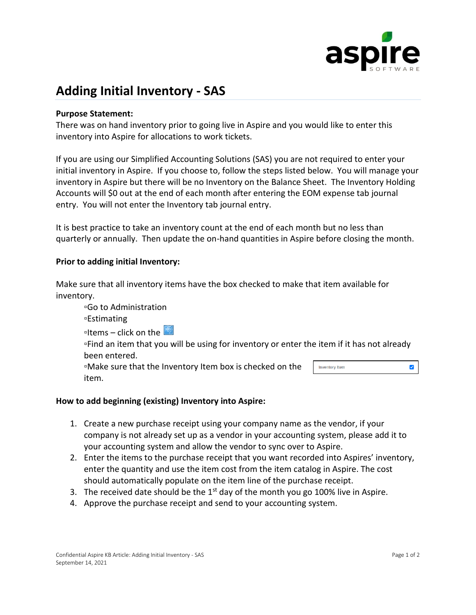

# **Adding Initial Inventory - SAS**

# **Purpose Statement:**

There was on hand inventory prior to going live in Aspire and you would like to enter this inventory into Aspire for allocations to work tickets.

If you are using our Simplified Accounting Solutions (SAS) you are not required to enter your initial inventory in Aspire. If you choose to, follow the steps listed below. You will manage your inventory in Aspire but there will be no Inventory on the Balance Sheet. The Inventory Holding Accounts will \$0 out at the end of each month after entering the EOM expense tab journal entry. You will not enter the Inventory tab journal entry.

It is best practice to take an inventory count at the end of each month but no less than quarterly or annually. Then update the on-hand quantities in Aspire before closing the month.

# **Prior to adding initial Inventory:**

Make sure that all inventory items have the box checked to make that item available for inventory.

▫Go to Administration ▫Estimating **I** Items – click on the  $\frac{1}{2}$ ▫Find an item that you will be using for inventory or enter the item if it has not already been entered. ▫Make sure that the Inventory Item box is checked on the **Inventory Item**  $\blacktriangledown$ item.

# **How to add beginning (existing) Inventory into Aspire:**

- 1. Create a new purchase receipt using your company name as the vendor, if your company is not already set up as a vendor in your accounting system, please add it to your accounting system and allow the vendor to sync over to Aspire.
- 2. Enter the items to the purchase receipt that you want recorded into Aspires' inventory, enter the quantity and use the item cost from the item catalog in Aspire. The cost should automatically populate on the item line of the purchase receipt.
- 3. The received date should be the  $1<sup>st</sup>$  day of the month you go 100% live in Aspire.
- 4. Approve the purchase receipt and send to your accounting system.